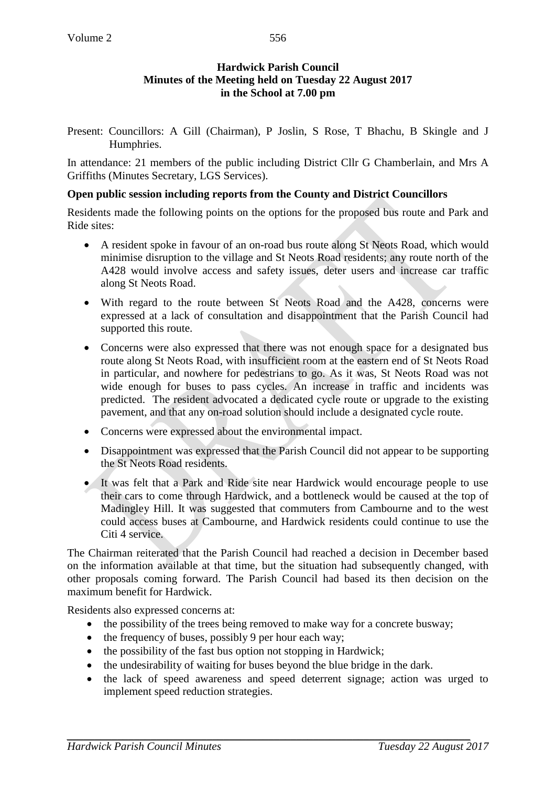### **Hardwick Parish Council Minutes of the Meeting held on Tuesday 22 August 2017 in the School at 7.00 pm**

Present: Councillors: A Gill (Chairman), P Joslin, S Rose, T Bhachu, B Skingle and J Humphries.

In attendance: 21 members of the public including District Cllr G Chamberlain, and Mrs A Griffiths (Minutes Secretary, LGS Services).

#### **Open public session including reports from the County and District Councillors**

Residents made the following points on the options for the proposed bus route and Park and Ride sites:

- A resident spoke in favour of an on-road bus route along St Neots Road, which would minimise disruption to the village and St Neots Road residents; any route north of the A428 would involve access and safety issues, deter users and increase car traffic along St Neots Road.
- With regard to the route between St Neots Road and the A428, concerns were expressed at a lack of consultation and disappointment that the Parish Council had supported this route.
- Concerns were also expressed that there was not enough space for a designated bus route along St Neots Road, with insufficient room at the eastern end of St Neots Road in particular, and nowhere for pedestrians to go. As it was, St Neots Road was not wide enough for buses to pass cycles. An increase in traffic and incidents was predicted. The resident advocated a dedicated cycle route or upgrade to the existing pavement, and that any on-road solution should include a designated cycle route.
- Concerns were expressed about the environmental impact.
- Disappointment was expressed that the Parish Council did not appear to be supporting the St Neots Road residents.
- It was felt that a Park and Ride site near Hardwick would encourage people to use their cars to come through Hardwick, and a bottleneck would be caused at the top of Madingley Hill. It was suggested that commuters from Cambourne and to the west could access buses at Cambourne, and Hardwick residents could continue to use the Citi 4 service.

The Chairman reiterated that the Parish Council had reached a decision in December based on the information available at that time, but the situation had subsequently changed, with other proposals coming forward. The Parish Council had based its then decision on the maximum benefit for Hardwick.

Residents also expressed concerns at:

- the possibility of the trees being removed to make way for a concrete busway;
- the frequency of buses, possibly 9 per hour each way;
- the possibility of the fast bus option not stopping in Hardwick;
- the undesirability of waiting for buses beyond the blue bridge in the dark.
- the lack of speed awareness and speed deterrent signage; action was urged to implement speed reduction strategies.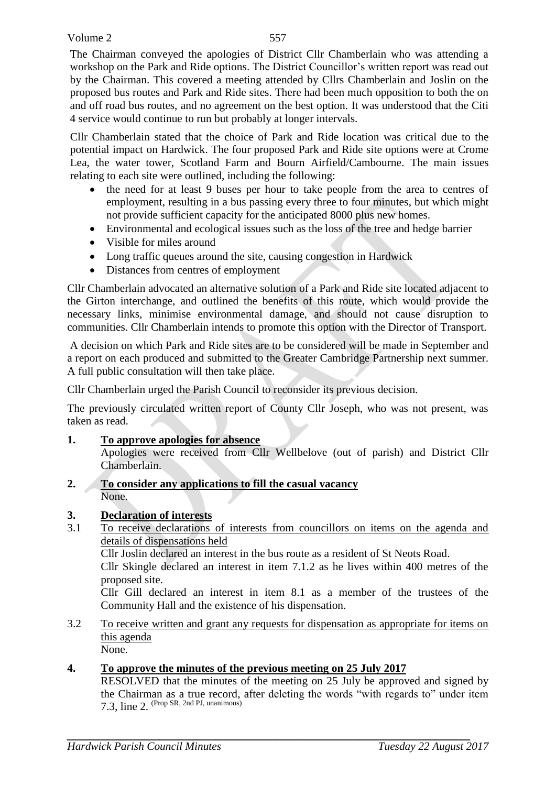The Chairman conveyed the apologies of District Cllr Chamberlain who was attending a workshop on the Park and Ride options. The District Councillor's written report was read out by the Chairman. This covered a meeting attended by Cllrs Chamberlain and Joslin on the proposed bus routes and Park and Ride sites. There had been much opposition to both the on and off road bus routes, and no agreement on the best option. It was understood that the Citi 4 service would continue to run but probably at longer intervals.

Cllr Chamberlain stated that the choice of Park and Ride location was critical due to the potential impact on Hardwick. The four proposed Park and Ride site options were at Crome Lea, the water tower, Scotland Farm and Bourn Airfield/Cambourne. The main issues relating to each site were outlined, including the following:

- the need for at least 9 buses per hour to take people from the area to centres of employment, resulting in a bus passing every three to four minutes, but which might not provide sufficient capacity for the anticipated 8000 plus new homes.
- Environmental and ecological issues such as the loss of the tree and hedge barrier
- Visible for miles around
- Long traffic queues around the site, causing congestion in Hardwick
- Distances from centres of employment

Cllr Chamberlain advocated an alternative solution of a Park and Ride site located adjacent to the Girton interchange, and outlined the benefits of this route, which would provide the necessary links, minimise environmental damage, and should not cause disruption to communities. Cllr Chamberlain intends to promote this option with the Director of Transport.

A decision on which Park and Ride sites are to be considered will be made in September and a report on each produced and submitted to the Greater Cambridge Partnership next summer. A full public consultation will then take place.

Cllr Chamberlain urged the Parish Council to reconsider its previous decision.

The previously circulated written report of County Cllr Joseph, who was not present, was taken as read.

- **1. To approve apologies for absence** Apologies were received from Cllr Wellbelove (out of parish) and District Cllr Chamberlain.
- **2. To consider any applications to fill the casual vacancy** None.
- **3. Declaration of interests**
- 3.1 To receive declarations of interests from councillors on items on the agenda and details of dispensations held

Cllr Joslin declared an interest in the bus route as a resident of St Neots Road.

Cllr Skingle declared an interest in item 7.1.2 as he lives within 400 metres of the proposed site.

Cllr Gill declared an interest in item 8.1 as a member of the trustees of the Community Hall and the existence of his dispensation.

3.2 To receive written and grant any requests for dispensation as appropriate for items on this agenda None.

## **4. To approve the minutes of the previous meeting on 25 July 2017**

RESOLVED that the minutes of the meeting on 25 July be approved and signed by the Chairman as a true record, after deleting the words "with regards to" under item 7.3, line 2. (Prop SR, 2nd PJ, unanimous)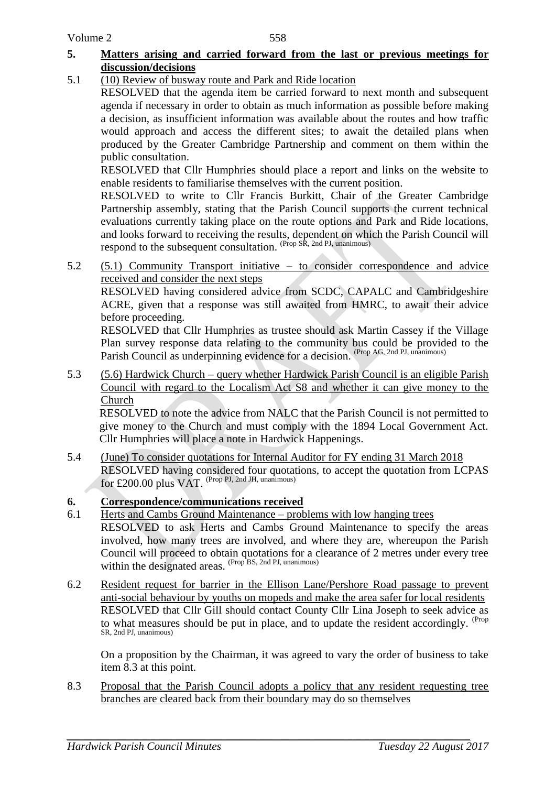## **5. Matters arising and carried forward from the last or previous meetings for discussion/decisions**

5.1 (10) Review of busway route and Park and Ride location

RESOLVED that the agenda item be carried forward to next month and subsequent agenda if necessary in order to obtain as much information as possible before making a decision, as insufficient information was available about the routes and how traffic would approach and access the different sites; to await the detailed plans when produced by the Greater Cambridge Partnership and comment on them within the public consultation.

RESOLVED that Cllr Humphries should place a report and links on the website to enable residents to familiarise themselves with the current position.

RESOLVED to write to Cllr Francis Burkitt, Chair of the Greater Cambridge Partnership assembly, stating that the Parish Council supports the current technical evaluations currently taking place on the route options and Park and Ride locations, and looks forward to receiving the results, dependent on which the Parish Council will respond to the subsequent consultation. (Prop SR, 2nd PJ, unanimous)

5.2 (5.1) Community Transport initiative – to consider correspondence and advice received and consider the next steps

RESOLVED having considered advice from SCDC, CAPALC and Cambridgeshire ACRE, given that a response was still awaited from HMRC, to await their advice before proceeding.

RESOLVED that Cllr Humphries as trustee should ask Martin Cassey if the Village Plan survey response data relating to the community bus could be provided to the Parish Council as underpinning evidence for a decision. (Prop AG, 2nd PJ, unanimous)

5.3 (5.6) Hardwick Church – query whether Hardwick Parish Council is an eligible Parish Council with regard to the Localism Act S8 and whether it can give money to the Church

RESOLVED to note the advice from NALC that the Parish Council is not permitted to give money to the Church and must comply with the 1894 Local Government Act. Cllr Humphries will place a note in Hardwick Happenings.

5.4 (June) To consider quotations for Internal Auditor for FY ending 31 March 2018 RESOLVED having considered four quotations, to accept the quotation from LCPAS for £200.00 plus VAT. (Prop PJ, 2nd JH, unanimous)

# **6. Correspondence/communications received**

- 6.1 Herts and Cambs Ground Maintenance problems with low hanging trees RESOLVED to ask Herts and Cambs Ground Maintenance to specify the areas involved, how many trees are involved, and where they are, whereupon the Parish Council will proceed to obtain quotations for a clearance of 2 metres under every tree within the designated areas. (Prop BS, 2nd PJ, unanimous)
- 6.2 Resident request for barrier in the Ellison Lane/Pershore Road passage to prevent anti-social behaviour by youths on mopeds and make the area safer for local residents RESOLVED that Cllr Gill should contact County Cllr Lina Joseph to seek advice as to what measures should be put in place, and to update the resident accordingly. <sup>(Prop</sup> SR, 2nd PJ, unanimous)

On a proposition by the Chairman, it was agreed to vary the order of business to take item 8.3 at this point.

8.3 Proposal that the Parish Council adopts a policy that any resident requesting tree branches are cleared back from their boundary may do so themselves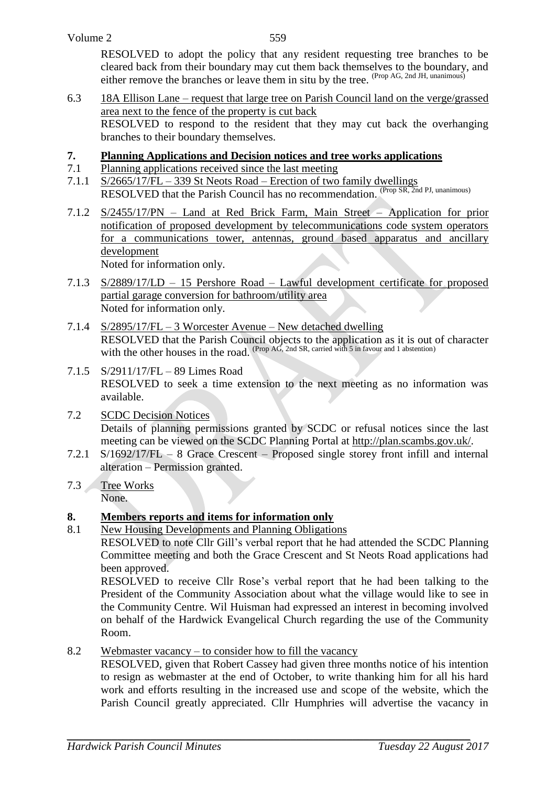RESOLVED to adopt the policy that any resident requesting tree branches to be cleared back from their boundary may cut them back themselves to the boundary, and either remove the branches or leave them in situ by the tree. (Prop AG, 2nd JH, unanimous)

6.3 18A Ellison Lane – request that large tree on Parish Council land on the verge/grassed area next to the fence of the property is cut back RESOLVED to respond to the resident that they may cut back the overhanging branches to their boundary themselves.

### **7. Planning Applications and Decision notices and tree works applications**

- 7.1 Planning applications received since the last meeting
- 7.1.1  $S/2665/17/FL 339 St$  Neots Road Erection of two family dwellings RESOLVED that the Parish Council has no recommendation. (Prop SR, 2nd PJ, unanimous)
- 7.1.2 S/2455/17/PN Land at Red Brick Farm, Main Street Application for prior notification of proposed development by telecommunications code system operators for a communications tower, antennas, ground based apparatus and ancillary development

Noted for information only.

- 7.1.3 S/2889/17/LD 15 Pershore Road Lawful development certificate for proposed partial garage conversion for bathroom/utility area Noted for information only.
- 7.1.4 S/2895/17/FL 3 Worcester Avenue New detached dwelling RESOLVED that the Parish Council objects to the application as it is out of character with the other houses in the road.  $(\text{Prop A}\tilde{G}, 2\text{nd SR}, \text{ carried with 5 in favour and 1 abstraction})$
- 7.1.5 S/2911/17/FL 89 Limes Road RESOLVED to seek a time extension to the next meeting as no information was available.
- 7.2 SCDC Decision Notices Details of planning permissions granted by SCDC or refusal notices since the last meeting can be viewed on the SCDC Planning Portal at [http://plan.scambs.gov.uk/.](http://plan.scambs.gov.uk/swiftlg/apas/run/Wchweeklylist.displayPlanningLists)
- 7.2.1 S/1692/17/FL 8 Grace Crescent Proposed single storey front infill and internal alteration – Permission granted.
- 7.3 Tree Works None.

## **8. Members reports and items for information only**

8.1 New Housing Developments and Planning Obligations

RESOLVED to note Cllr Gill's verbal report that he had attended the SCDC Planning Committee meeting and both the Grace Crescent and St Neots Road applications had been approved.

RESOLVED to receive Cllr Rose's verbal report that he had been talking to the President of the Community Association about what the village would like to see in the Community Centre. Wil Huisman had expressed an interest in becoming involved on behalf of the Hardwick Evangelical Church regarding the use of the Community Room.

8.2 Webmaster vacancy – to consider how to fill the vacancy

RESOLVED, given that Robert Cassey had given three months notice of his intention to resign as webmaster at the end of October, to write thanking him for all his hard work and efforts resulting in the increased use and scope of the website, which the Parish Council greatly appreciated. Cllr Humphries will advertise the vacancy in